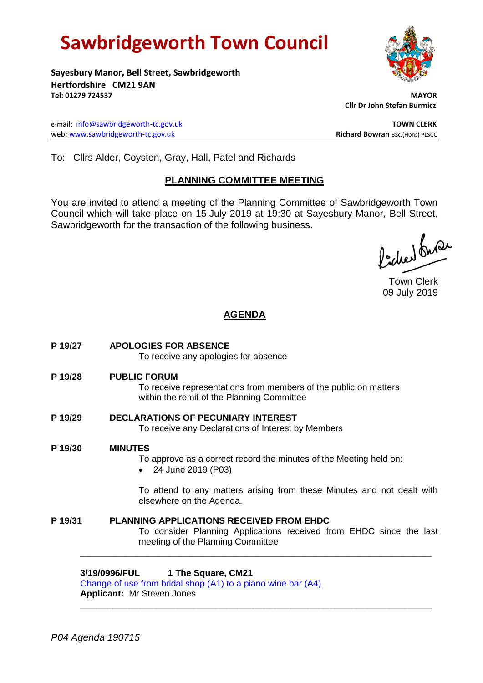# **Sawbridgeworth Town Council**



**Sayesbury Manor, Bell Street, Sawbridgeworth Hertfordshire CM21 9AN Tel: 01279 724537 MAYOR**

e-mail: [info@sawbridgeworth-tc.gov.uk](mailto:info@sawbridgeworth-tc.gov.uk) **TOWN CLERK** web: www.sawbridgeworth-tc.gov.uk<br> **Richard Bowran** BSc.(Hons) PLSCC

 **Cllr Dr John Stefan Burmicz**

To: Cllrs Alder, Coysten, Gray, Hall, Patel and Richards

## **PLANNING COMMITTEE MEETING**

You are invited to attend a meeting of the Planning Committee of Sawbridgeworth Town Council which will take place on 15 July 2019 at 19:30 at Sayesbury Manor, Bell Street, Sawbridgeworth for the transaction of the following business.

fided fuse

Town Clerk 09 July 2019

# **AGENDA**

- **P 19/27 APOLOGIES FOR ABSENCE** To receive any apologies for absence **P 19/28 PUBLIC FORUM** To receive representations from members of the public on matters within the remit of the Planning Committee **P 19/29 DECLARATIONS OF PECUNIARY INTEREST** To receive any Declarations of Interest by Members **P 19/30 MINUTES** To approve as a correct record the minutes of the Meeting held on: 24 June 2019 (P03) To attend to any matters arising from these Minutes and not dealt with elsewhere on the Agenda.
- **P 19/31 PLANNING APPLICATIONS RECEIVED FROM EHDC** To consider Planning Applications received from EHDC since the last meeting of the Planning Committee

**\_\_\_\_\_\_\_\_\_\_\_\_\_\_\_\_\_\_\_\_\_\_\_\_\_\_\_\_\_\_\_\_\_\_\_\_\_\_\_\_\_\_\_\_\_\_\_\_\_\_\_\_\_\_\_\_\_\_\_\_\_\_\_\_\_**

**3/19/0996/FUL 1 The Square, CM21**

[Change of use from bridal shop \(A1\) to a piano wine bar \(A4\)](https://publicaccess.eastherts.gov.uk/online-applications/applicationDetails.do?activeTab=documents&keyVal=PRG74CGLJBJ00) **Applicant:** Mr Steven Jones **\_\_\_\_\_\_\_\_\_\_\_\_\_\_\_\_\_\_\_\_\_\_\_\_\_\_\_\_\_\_\_\_\_\_\_\_\_\_\_\_\_\_\_\_\_\_\_\_\_\_\_\_\_\_\_\_\_\_\_\_\_\_\_\_\_**

*P04 Agenda 190715*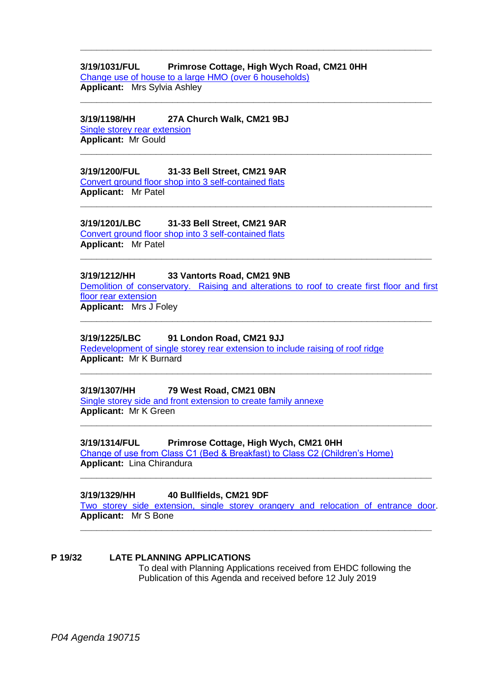## **3/19/1031/FUL Primrose Cottage, High Wych Road, CM21 0HH**

**\_\_\_\_\_\_\_\_\_\_\_\_\_\_\_\_\_\_\_\_\_\_\_\_\_\_\_\_\_\_\_\_\_\_\_\_\_\_\_\_\_\_\_\_\_\_\_\_\_\_\_\_\_\_\_\_\_\_\_\_\_\_\_\_\_**

**\_\_\_\_\_\_\_\_\_\_\_\_\_\_\_\_\_\_\_\_\_\_\_\_\_\_\_\_\_\_\_\_\_\_\_\_\_\_\_\_\_\_\_\_\_\_\_\_\_\_\_\_\_\_\_\_\_\_\_\_\_\_\_\_\_**

**\_\_\_\_\_\_\_\_\_\_\_\_\_\_\_\_\_\_\_\_\_\_\_\_\_\_\_\_\_\_\_\_\_\_\_\_\_\_\_\_\_\_\_\_\_\_\_\_\_\_\_\_\_\_\_\_\_\_\_\_\_\_\_\_\_**

**\_\_\_\_\_\_\_\_\_\_\_\_\_\_\_\_\_\_\_\_\_\_\_\_\_\_\_\_\_\_\_\_\_\_\_\_\_\_\_\_\_\_\_\_\_\_\_\_\_\_\_\_\_\_\_\_\_\_\_\_\_\_\_\_\_**

**\_\_\_\_\_\_\_\_\_\_\_\_\_\_\_\_\_\_\_\_\_\_\_\_\_\_\_\_\_\_\_\_\_\_\_\_\_\_\_\_\_\_\_\_\_\_\_\_\_\_\_\_\_\_\_\_\_\_\_\_\_\_\_\_\_**

[Change use of house to a large HMO \(over 6 households\)](https://publicaccess.eastherts.gov.uk/online-applications/applicationDetails.do?activeTab=documents&keyVal=PRNAN1GLJDX00) **Applicant:** Mrs Sylvia Ashley

# **3/19/1198/HH 27A Church Walk, CM21 9BJ**

[Single storey rear extension](https://publicaccess.eastherts.gov.uk/online-applications/applicationDetails.do?activeTab=documents&keyVal=PSPVI9GLJOR00) **Applicant:** Mr Gould

#### **3/19/1200/FUL 31-33 Bell Street, CM21 9AR** [Convert ground floor shop into 3 self-contained flats](https://publicaccess.eastherts.gov.uk/online-applications/applicationDetails.do?activeTab=documents&keyVal=PSQ6LDGLJOW00)

**Applicant:** Mr Patel

## **3/19/1201/LBC 31-33 Bell Street, CM21 9AR**

[Convert ground floor shop into 3 self-contained flats](https://publicaccess.eastherts.gov.uk/online-applications/applicationDetails.do?activeTab=documents&keyVal=PSQ6LLGLJOX00) **Applicant:** Mr Patel

## **3/19/1212/HH 33 Vantorts Road, CM21 9NB**

[Demolition of conservatory. Raising and alterations to roof to create first floor and first](https://publicaccess.eastherts.gov.uk/online-applications/applicationDetails.do?activeTab=documents&keyVal=PSRQ6SGLJPT00)  [floor rear extension](https://publicaccess.eastherts.gov.uk/online-applications/applicationDetails.do?activeTab=documents&keyVal=PSRQ6SGLJPT00) **Applicant:** Mrs J Foley

**\_\_\_\_\_\_\_\_\_\_\_\_\_\_\_\_\_\_\_\_\_\_\_\_\_\_\_\_\_\_\_\_\_\_\_\_\_\_\_\_\_\_\_\_\_\_\_\_\_\_\_\_\_\_\_\_\_\_\_\_\_\_\_\_\_**

**\_\_\_\_\_\_\_\_\_\_\_\_\_\_\_\_\_\_\_\_\_\_\_\_\_\_\_\_\_\_\_\_\_\_\_\_\_\_\_\_\_\_\_\_\_\_\_\_\_\_\_\_\_\_\_\_\_\_\_\_\_\_\_\_\_**

**\_\_\_\_\_\_\_\_\_\_\_\_\_\_\_\_\_\_\_\_\_\_\_\_\_\_\_\_\_\_\_\_\_\_\_\_\_\_\_\_\_\_\_\_\_\_\_\_\_\_\_\_\_\_\_\_\_\_\_\_\_\_\_\_\_**

**\_\_\_\_\_\_\_\_\_\_\_\_\_\_\_\_\_\_\_\_\_\_\_\_\_\_\_\_\_\_\_\_\_\_\_\_\_\_\_\_\_\_\_\_\_\_\_\_\_\_\_\_\_\_\_\_\_\_\_\_\_\_\_\_\_**

#### **3/19/1225/LBC 91 London Road, CM21 9JJ**

[Redevelopment of single storey rear extension to include raising of roof ridge](https://publicaccess.eastherts.gov.uk/online-applications/applicationDetails.do?activeTab=documents&keyVal=PSXA7LGLJQX00) **Applicant:** Mr K Burnard

## **3/19/1307/HH 79 West Road, CM21 0BN**

Single storey side [and front extension to create family annexe](https://publicaccess.eastherts.gov.uk/online-applications/applicationDetails.do?activeTab=documents&keyVal=PTE5XDGL00X00) **Applicant:** Mr K Green

#### **3/19/1314/FUL Primrose Cottage, High Wych, CM21 0HH** [Change of use from Class C1 \(Bed & Breakfast\) to Class C2 \(Children's Home\)](https://publicaccess.eastherts.gov.uk/online-applications/applicationDetails.do?activeTab=documents&keyVal=PTFSU2GLJWS00)

**Applicant:** Lina Chirandura

## **3/19/1329/HH 40 Bullfields, CM21 9DF**

[Two storey side extension, single storey orangery and relocation of entrance door.](https://publicaccess.eastherts.gov.uk/online-applications/applicationDetails.do?activeTab=documents&keyVal=PTLZ2FGLJY700) **Applicant:** Mr S Bone

**\_\_\_\_\_\_\_\_\_\_\_\_\_\_\_\_\_\_\_\_\_\_\_\_\_\_\_\_\_\_\_\_\_\_\_\_\_\_\_\_\_\_\_\_\_\_\_\_\_\_\_\_\_\_\_\_\_\_\_\_\_\_\_\_\_**

## **P 19/32 LATE PLANNING APPLICATIONS** To deal with Planning Applications received from EHDC following the

Publication of this Agenda and received before 12 July 2019